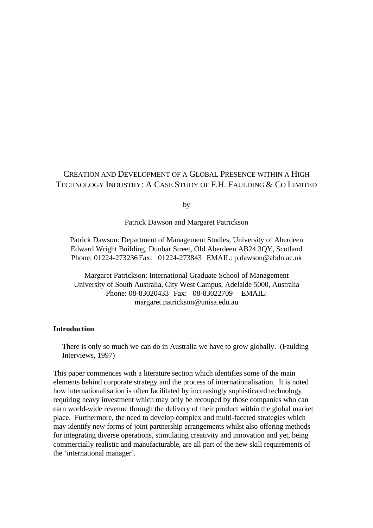# CREATION AND DEVELOPMENT OF A GLOBAL PRESENCE WITHIN A HIGH TECHNOLOGY INDUSTRY: A CASE STUDY OF F.H. FAULDING & CO LIMITED

by

Patrick Dawson and Margaret Patrickson

Patrick Dawson: Department of Management Studies, University of Aberdeen Edward Wright Building, Dunbar Street, Old Aberdeen AB24 3QY, Scotland Phone: 01224-273236 Fax: 01224-273843 EMAIL: p.dawson@abdn.ac.uk

Margaret Patrickson: International Graduate School of Management University of South Australia, City West Campus, Adelaide 5000, Australia Phone: 08-83020433 Fax: 08-83022709 EMAIL: margaret.patrickson@unisa.edu.au

## **Introduction**

There is only so much we can do in Australia we have to grow globally. (Faulding Interviews, 1997)

This paper commences with a literature section which identifies some of the main elements behind corporate strategy and the process of internationalisation. It is noted how internationalisation is often facilitated by increasingly sophisticated technology requiring heavy investment which may only be recouped by those companies who can earn world-wide revenue through the delivery of their product within the global market place. Furthermore, the need to develop complex and multi-faceted strategies which may identify new forms of joint partnership arrangements whilst also offering methods for integrating diverse operations, stimulating creativity and innovation and yet, being commercially realistic and manufacturable, are all part of the new skill requirements of the 'international manager'.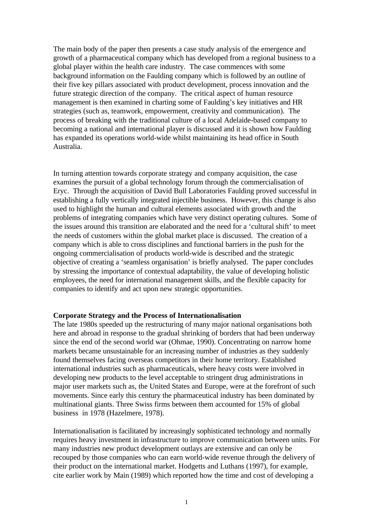The main body of the paper then presents a case study analysis of the emergence and growth of a pharmaceutical company which has developed from a regional business to a global player within the health care industry. The case commences with some background information on the Faulding company which is followed by an outline of their five key pillars associated with product development, process innovation and the future strategic direction of the company. The critical aspect of human resource management is then examined in charting some of Faulding's key initiatives and HR strategies (such as, teamwork, empowerment, creativity and communication). The process of breaking with the traditional culture of a local Adelaide-based company to becoming a national and international player is discussed and it is shown how Faulding has expanded its operations world-wide whilst maintaining its head office in South Australia.

In turning attention towards corporate strategy and company acquisition, the case examines the pursuit of a global technology forum through the commercialisation of Eryc. Through the acquisition of David Bull Laboratories Faulding proved successful in establishing a fully vertically integrated injectible business. However, this change is also used to highlight the human and cultural elements associated with growth and the problems of integrating companies which have very distinct operating cultures. Some of the issues around this transition are elaborated and the need for a 'cultural shift' to meet the needs of customers within the global market place is discussed. The creation of a company which is able to cross disciplines and functional barriers in the push for the ongoing commercialisation of products world-wide is described and the strategic objective of creating a 'seamless organisation' is briefly analysed. The paper concludes by stressing the importance of contextual adaptability, the value of developing holistic employees, the need for international management skills, and the flexible capacity for companies to identify and act upon new strategic opportunities.

#### **Corporate Strategy and the Process of Internationalisation**

The late 1980s speeded up the restructuring of many major national organisations both here and abroad in response to the gradual shrinking of borders that had been underway since the end of the second world war (Ohmae, 1990). Concentrating on narrow home markets became unsustainable for an increasing number of industries as they suddenly found themselves facing overseas competitors in their home territory. Established international industries such as pharmaceuticals, where heavy costs were involved in developing new products to the level acceptable to stringent drug administrations in major user markets such as, the United States and Europe, were at the forefront of such movements. Since early this century the pharmaceutical industry has been dominated by multinational giants. Three Swiss firms between them accounted for 15% of global business in 1978 (Hazelmere, 1978).

Internationalisation is facilitated by increasingly sophisticated technology and normally requires heavy investment in infrastructure to improve communication between units. For many industries new product development outlays are extensive and can only be recouped by those companies who can earn world-wide revenue through the delivery of their product on the international market. Hodgetts and Luthans (1997), for example, cite earlier work by Main (1989) which reported how the time and cost of developing a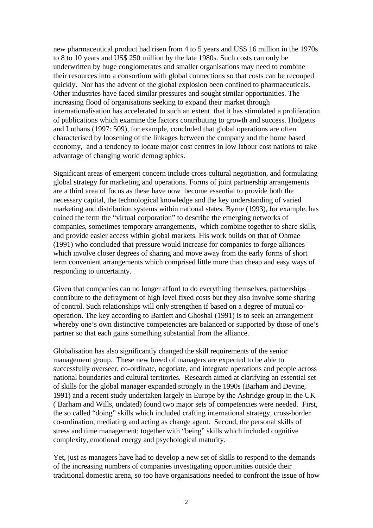new pharmaceutical product had risen from 4 to 5 years and US\$ 16 million in the 1970s to 8 to 10 years and US\$ 250 million by the late 1980s. Such costs can only be underwritten by huge conglomerates and smaller organisations may need to combine their resources into a consortium with global connections so that costs can be recouped quickly. Nor has the advent of the global explosion been confined to pharmaceuticals. Other industries have faced similar pressures and sought similar opportunities. The increasing flood of organisations seeking to expand their market through internationalisation has accelerated to such an extent that it has stimulated a proliferation of publications which examine the factors contributing to growth and success. Hodgetts and Luthans (1997: 509), for example, concluded that global operations are often characterised by loosening of the linkages between the company and the home based economy, and a tendency to locate major cost centres in low labour cost nations to take advantage of changing world demographics.

Significant areas of emergent concern include cross cultural negotiation, and formulating global strategy for marketing and operations. Forms of joint partnership arrangements are a third area of focus as these have now become essential to provide both the necessary capital, the technological knowledge and the key understanding of varied marketing and distribution systems within national states. Byrne (1993), for example, has coined the term the "virtual corporation" to describe the emerging networks of companies, sometimes temporary arrangements, which combine together to share skills, and provide easier access within global markets. His work builds on that of Ohmae (1991) who concluded that pressure would increase for companies to forge alliances which involve closer degrees of sharing and move away from the early forms of short term convenient arrangements which comprised little more than cheap and easy ways of responding to uncertainty.

Given that companies can no longer afford to do everything themselves, partnerships contribute to the defrayment of high level fixed costs but they also involve some sharing of control. Such relationships will only strengthen if based on a degree of mutual cooperation. The key according to Bartlett and Ghoshal (1991) is to seek an arrangement whereby one's own distinctive competencies are balanced or supported by those of one's partner so that each gains something substantial from the alliance.

Globalisation has also significantly changed the skill requirements of the senior management group. These new breed of managers are expected to be able to successfully overseer, co-ordinate, negotiate, and integrate operations and people across national boundaries and cultural territories. Research aimed at clarifying an essential set of skills for the global manager expanded strongly in the 1990s (Barham and Devine, 1991) and a recent study undertaken largely in Europe by the Ashridge group in the UK ( Barham and Wills, undated) found two major sets of competencies were needed. First, the so called "doing" skills which included crafting international strategy, cross-border co-ordination, mediating and acting as change agent. Second, the personal skills of stress and time management; together with "being" skills which included cognitive complexity, emotional energy and psychological maturity.

Yet, just as managers have had to develop a new set of skills to respond to the demands of the increasing numbers of companies investigating opportunities outside their traditional domestic arena, so too have organisations needed to confront the issue of how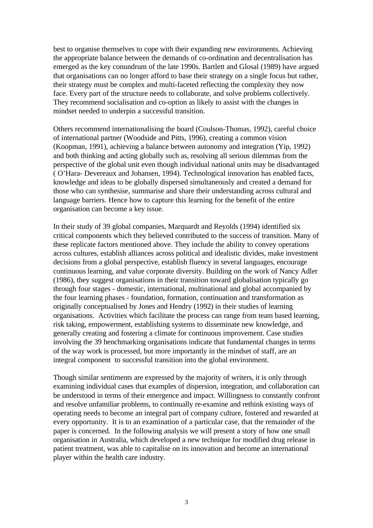best to organise themselves to cope with their expanding new environments. Achieving the appropriate balance between the demands of co-ordination and decentralisation has emerged as the key conundrum of the late 1990s. Bartlett and Glosal (1989) have argued that organisations can no longer afford to base their strategy on a single focus but rather, their strategy must be complex and multi-faceted reflecting the complexity they now face. Every part of the structure needs to collaborate, and solve problems collectively. They recommend socialisation and co-option as likely to assist with the changes in mindset needed to underpin a successful transition.

Others recommend internationalising the board (Coulson-Thomas, 1992), careful choice of international partner (Woodside and Pitts, 1996), creating a common vision (Koopman, 1991), achieving a balance between autonomy and integration (Yip, 1992) and both thinking and acting globally such as, resolving all serious dilemmas from the perspective of the global unit even though individual national units may be disadvantaged ( O'Hara- Devereaux and Johansen, 1994). Technological innovation has enabled facts, knowledge and ideas to be globally dispersed simultaneously and created a demand for those who can synthesise, summarise and share their understanding across cultural and language barriers. Hence how to capture this learning for the benefit of the entire organisation can become a key issue.

In their study of 39 global companies, Marquardt and Reyolds (1994) identified six critical components which they believed contributed to the success of transition. Many of these replicate factors mentioned above. They include the ability to convey operations across cultures, establish alliances across political and idealistic divides, make investment decisions from a global perspective, establish fluency in several languages, encourage continuous learning, and value corporate diversity. Building on the work of Nancy Adler (1986), they suggest organisations in their transition toward globalisation typically go through four stages - domestic, international, multinational and global accompanied by the four learning phases - foundation, formation, continuation and transformation as originally conceptualised by Jones and Hendry (1992) in their studies of learning organisations. Activities which facilitate the process can range from team based learning, risk taking, empowerment, establishing systems to disseminate new knowledge, and generally creating and fostering a climate for continuous improvement. Case studies involving the 39 benchmarking organisations indicate that fundamental changes in terms of the way work is processed, but more importantly in the mindset of staff, are an integral component to successful transition into the global environment.

Though similar sentiments are expressed by the majority of writers, it is only through examining individual cases that examples of dispersion, integration, and collaboration can be understood in terms of their emergence and impact. Willingness to constantly confront and resolve unfamiliar problems, to continually re-examine and rethink existing ways of operating needs to become an integral part of company culture, fostered and rewarded at every opportunity. It is to an examination of a particular case, that the remainder of the paper is concerned. In the following analysis we will present a story of how one small organisation in Australia, which developed a new technique for modified drug release in patient treatment, was able to capitalise on its innovation and become an international player within the health care industry.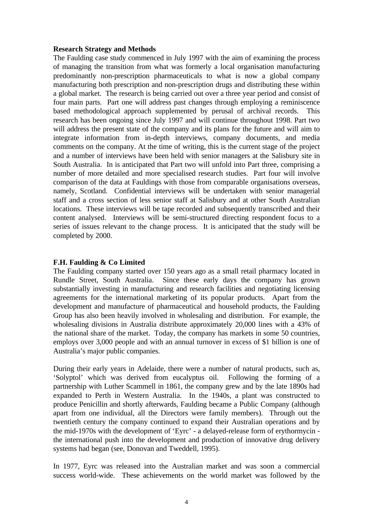#### **Research Strategy and Methods**

The Faulding case study commenced in July 1997 with the aim of examining the process of managing the transition from what was formerly a local organisation manufacturing predominantly non-prescription pharmaceuticals to what is now a global company manufacturing both prescription and non-prescription drugs and distributing these within a global market. The research is being carried out over a three year period and consist of four main parts. Part one will address past changes through employing a reminiscence based methodological approach supplemented by perusal of archival records. This research has been ongoing since July 1997 and will continue throughout 1998. Part two will address the present state of the company and its plans for the future and will aim to integrate information from in-depth interviews, company documents, and media comments on the company. At the time of writing, this is the current stage of the project and a number of interviews have been held with senior managers at the Salisbury site in South Australia. In is anticipated that Part two will unfold into Part three, comprising a number of more detailed and more specialised research studies. Part four will involve comparison of the data at Fauldings with those from comparable organisations overseas, namely, Scotland. Confidential interviews will be undertaken with senior managerial staff and a cross section of less senior staff at Salisbury and at other South Australian locations. These interviews will be tape recorded and subsequently transcribed and their content analysed. Interviews will be semi-structured directing respondent focus to a series of issues relevant to the change process. It is anticipated that the study will be completed by 2000.

#### **F.H. Faulding & Co Limited**

The Faulding company started over 150 years ago as a small retail pharmacy located in Rundle Street, South Australia. Since these early days the company has grown substantially investing in manufacturing and research facilities and negotiating licensing agreements for the international marketing of its popular products. Apart from the development and manufacture of pharmaceutical and household products, the Faulding Group has also been heavily involved in wholesaling and distribution. For example, the wholesaling divisions in Australia distribute approximately 20,000 lines with a 43% of the national share of the market. Today, the company has markets in some 50 countries, employs over 3,000 people and with an annual turnover in excess of \$1 billion is one of Australia's major public companies.

During their early years in Adelaide, there were a number of natural products, such as, 'Solyptol' which was derived from eucalyptus oil. Following the forming of a partnership with Luther Scammell in 1861, the company grew and by the late 1890s had expanded to Perth in Western Australia. In the 1940s, a plant was constructed to produce Penicillin and shortly afterwards, Faulding became a Public Company (although apart from one individual, all the Directors were family members). Through out the twentieth century the company continued to expand their Australian operations and by the mid-1970s with the development of 'Eyrc' - a delayed-release form of erythormycin the international push into the development and production of innovative drug delivery systems had began (see, Donovan and Tweddell, 1995).

In 1977, Eyrc was released into the Australian market and was soon a commercial success world-wide. These achievements on the world market was followed by the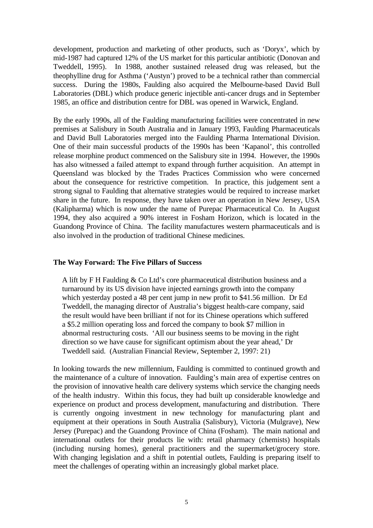development, production and marketing of other products, such as 'Doryx', which by mid-1987 had captured 12% of the US market for this particular antibiotic (Donovan and Tweddell, 1995). In 1988, another sustained released drug was released, but the theophylline drug for Asthma ('Austyn') proved to be a technical rather than commercial success. During the 1980s, Faulding also acquired the Melbourne-based David Bull Laboratories (DBL) which produce generic injectible anti-cancer drugs and in September 1985, an office and distribution centre for DBL was opened in Warwick, England.

By the early 1990s, all of the Faulding manufacturing facilities were concentrated in new premises at Salisbury in South Australia and in January 1993, Faulding Pharmaceuticals and David Bull Laboratories merged into the Faulding Pharma International Division. One of their main successful products of the 1990s has been 'Kapanol', this controlled release morphine product commenced on the Salisbury site in 1994. However, the 1990s has also witnessed a failed attempt to expand through further acquisition. An attempt in Queensland was blocked by the Trades Practices Commission who were concerned about the consequence for restrictive competition. In practice, this judgement sent a strong signal to Faulding that alternative strategies would be required to increase market share in the future. In response, they have taken over an operation in New Jersey, USA (Kalipharma) which is now under the name of Purepac Pharmaceutical Co. In August 1994, they also acquired a 90% interest in Fosham Horizon, which is located in the Guandong Province of China. The facility manufactures western pharmaceuticals and is also involved in the production of traditional Chinese medicines.

## **The Way Forward: The Five Pillars of Success**

A lift by F H Faulding & Co Ltd's core pharmaceutical distribution business and a turnaround by its US division have injected earnings growth into the company which yesterday posted a 48 per cent jump in new profit to \$41.56 million. Dr Ed Tweddell, the managing director of Australia's biggest health-care company, said the result would have been brilliant if not for its Chinese operations which suffered a \$5.2 million operating loss and forced the company to book \$7 million in abnormal restructuring costs. 'All our business seems to be moving in the right direction so we have cause for significant optimism about the year ahead,' Dr Tweddell said. (Australian Financial Review, September 2, 1997: 21)

In looking towards the new millennium, Faulding is committed to continued growth and the maintenance of a culture of innovation. Faulding's main area of expertise centres on the provision of innovative health care delivery systems which service the changing needs of the health industry. Within this focus, they had built up considerable knowledge and experience on product and process development, manufacturing and distribution. There is currently ongoing investment in new technology for manufacturing plant and equipment at their operations in South Australia (Salisbury), Victoria (Mulgrave), New Jersey (Purepac) and the Guandong Province of China (Fosham). The main national and international outlets for their products lie with: retail pharmacy (chemists) hospitals (including nursing homes), general practitioners and the supermarket/grocery store. With changing legislation and a shift in potential outlets, Faulding is preparing itself to meet the challenges of operating within an increasingly global market place.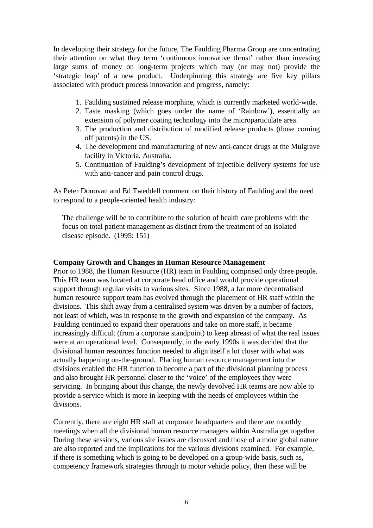In developing their strategy for the future, The Faulding Pharma Group are concentrating their attention on what they term 'continuous innovative thrust' rather than investing large sums of money on long-term projects which may (or may not) provide the 'strategic leap' of a new product. Underpinning this strategy are five key pillars associated with product process innovation and progress, namely:

- 1. Faulding sustained release morphine, which is currently marketed world-wide.
- 2. Taste masking (which goes under the name of 'Rainbow'), essentially an extension of polymer coating technology into the microparticulate area.
- 3. The production and distribution of modified release products (those coming off patents) in the US.
- 4. The development and manufacturing of new anti-cancer drugs at the Mulgrave facility in Victoria, Australia.
- 5. Continuation of Faulding's development of injectible delivery systems for use with anti-cancer and pain control drugs.

As Peter Donovan and Ed Tweddell comment on their history of Faulding and the need to respond to a people-oriented health industry:

The challenge will be to contribute to the solution of health care problems with the focus on total patient management as distinct from the treatment of an isolated disease episode. (1995: 151)

## **Company Growth and Changes in Human Resource Management**

Prior to 1988, the Human Resource (HR) team in Faulding comprised only three people. This HR team was located at corporate head office and would provide operational support through regular visits to various sites. Since 1988, a far more decentralised human resource support team has evolved through the placement of HR staff within the divisions. This shift away from a centralised system was driven by a number of factors, not least of which, was in response to the growth and expansion of the company. As Faulding continued to expand their operations and take on more staff, it became increasingly difficult (from a corporate standpoint) to keep abreast of what the real issues were at an operational level. Consequently, in the early 1990s it was decided that the divisional human resources function needed to align itself a lot closer with what was actually happening on-the-ground. Placing human resource management into the divisions enabled the HR function to become a part of the divisional planning process and also brought HR personnel closer to the 'voice' of the employees they were servicing. In bringing about this change, the newly devolved HR teams are now able to provide a service which is more in keeping with the needs of employees within the divisions.

Currently, there are eight HR staff at corporate headquarters and there are monthly meetings when all the divisional human resource managers within Australia get together. During these sessions, various site issues are discussed and those of a more global nature are also reported and the implications for the various divisions examined. For example, if there is something which is going to be developed on a group-wide basis, such as, competency framework strategies through to motor vehicle policy, then these will be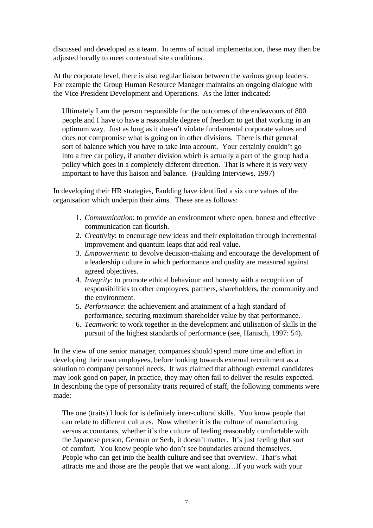discussed and developed as a team. In terms of actual implementation, these may then be adjusted locally to meet contextual site conditions.

At the corporate level, there is also regular liaison between the various group leaders. For example the Group Human Resource Manager maintains an ongoing dialogue with the Vice President Development and Operations. As the latter indicated:

Ultimately I am the person responsible for the outcomes of the endeavours of 800 people and I have to have a reasonable degree of freedom to get that working in an optimum way. Just as long as it doesn't violate fundamental corporate values and does not compromise what is going on in other divisions. There is that general sort of balance which you have to take into account. Your certainly couldn't go into a free car policy, if another division which is actually a part of the group had a policy which goes in a completely different direction. That is where it is very very important to have this liaison and balance. (Faulding Interviews, 1997)

In developing their HR strategies, Faulding have identified a six core values of the organisation which underpin their aims. These are as follows:

- 1. *Communication*: to provide an environment where open, honest and effective communication can flourish.
- 2. *Creativity*: to encourage new ideas and their exploitation through incremental improvement and quantum leaps that add real value.
- 3. *Empowerment*: to devolve decision-making and encourage the development of a leadership culture in which performance and quality are measured against agreed objectives.
- 4. *Integrity*: to promote ethical behaviour and honesty with a recognition of responsibilities to other employees, partners, shareholders, the community and the environment.
- 5. *Performance*: the achievement and attainment of a high standard of performance, securing maximum shareholder value by that performance.
- 6. *Teamwork*: to work together in the development and utilisation of skills in the pursuit of the highest standards of performance (see, Hanisch, 1997: 54).

In the view of one senior manager, companies should spend more time and effort in developing their own employees, before looking towards external recruitment as a solution to company personnel needs. It was claimed that although external candidates may look good on paper, in practice, they may often fail to deliver the results expected. In describing the type of personality traits required of staff, the following comments were made:

The one (traits) I look for is definitely inter-cultural skills. You know people that can relate to different cultures. Now whether it is the culture of manufacturing versus accountants, whether it's the culture of feeling reasonably comfortable with the Japanese person, German or Serb, it doesn't matter. It's just feeling that sort of comfort. You know people who don't see boundaries around themselves. People who can get into the health culture and see that overview. That's what attracts me and those are the people that we want along…If you work with your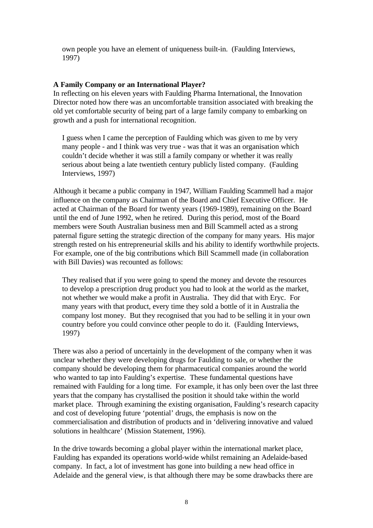own people you have an element of uniqueness built-in. (Faulding Interviews, 1997)

#### **A Family Company or an International Player?**

In reflecting on his eleven years with Faulding Pharma International, the Innovation Director noted how there was an uncomfortable transition associated with breaking the old yet comfortable security of being part of a large family company to embarking on growth and a push for international recognition.

I guess when I came the perception of Faulding which was given to me by very many people - and I think was very true - was that it was an organisation which couldn't decide whether it was still a family company or whether it was really serious about being a late twentieth century publicly listed company. (Faulding Interviews, 1997)

Although it became a public company in 1947, William Faulding Scammell had a major influence on the company as Chairman of the Board and Chief Executive Officer. He acted at Chairman of the Board for twenty years (1969-1989), remaining on the Board until the end of June 1992, when he retired. During this period, most of the Board members were South Australian business men and Bill Scammell acted as a strong paternal figure setting the strategic direction of the company for many years. His major strength rested on his entrepreneurial skills and his ability to identify worthwhile projects. For example, one of the big contributions which Bill Scammell made (in collaboration with Bill Davies) was recounted as follows:

They realised that if you were going to spend the money and devote the resources to develop a prescription drug product you had to look at the world as the market, not whether we would make a profit in Australia. They did that with Eryc. For many years with that product, every time they sold a bottle of it in Australia the company lost money. But they recognised that you had to be selling it in your own country before you could convince other people to do it. (Faulding Interviews, 1997)

There was also a period of uncertainly in the development of the company when it was unclear whether they were developing drugs for Faulding to sale, or whether the company should be developing them for pharmaceutical companies around the world who wanted to tap into Faulding's expertise. These fundamental questions have remained with Faulding for a long time. For example, it has only been over the last three years that the company has crystallised the position it should take within the world market place. Through examining the existing organisation, Faulding's research capacity and cost of developing future 'potential' drugs, the emphasis is now on the commercialisation and distribution of products and in 'delivering innovative and valued solutions in healthcare' (Mission Statement, 1996).

In the drive towards becoming a global player within the international market place, Faulding has expanded its operations world-wide whilst remaining an Adelaide-based company. In fact, a lot of investment has gone into building a new head office in Adelaide and the general view, is that although there may be some drawbacks there are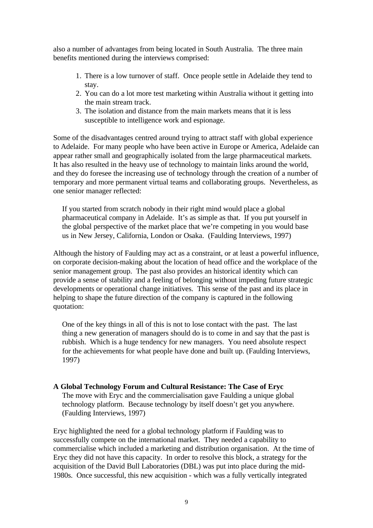also a number of advantages from being located in South Australia. The three main benefits mentioned during the interviews comprised:

- 1. There is a low turnover of staff. Once people settle in Adelaide they tend to stay.
- 2. You can do a lot more test marketing within Australia without it getting into the main stream track.
- 3. The isolation and distance from the main markets means that it is less susceptible to intelligence work and espionage.

Some of the disadvantages centred around trying to attract staff with global experience to Adelaide. For many people who have been active in Europe or America, Adelaide can appear rather small and geographically isolated from the large pharmaceutical markets. It has also resulted in the heavy use of technology to maintain links around the world, and they do foresee the increasing use of technology through the creation of a number of temporary and more permanent virtual teams and collaborating groups. Nevertheless, as one senior manager reflected:

If you started from scratch nobody in their right mind would place a global pharmaceutical company in Adelaide. It's as simple as that. If you put yourself in the global perspective of the market place that we're competing in you would base us in New Jersey, California, London or Osaka. (Faulding Interviews, 1997)

Although the history of Faulding may act as a constraint, or at least a powerful influence, on corporate decision-making about the location of head office and the workplace of the senior management group. The past also provides an historical identity which can provide a sense of stability and a feeling of belonging without impeding future strategic developments or operational change initiatives. This sense of the past and its place in helping to shape the future direction of the company is captured in the following quotation:

One of the key things in all of this is not to lose contact with the past. The last thing a new generation of managers should do is to come in and say that the past is rubbish. Which is a huge tendency for new managers. You need absolute respect for the achievements for what people have done and built up. (Faulding Interviews, 1997)

# **A Global Technology Forum and Cultural Resistance: The Case of Eryc** The move with Eryc and the commercialisation gave Faulding a unique global technology platform. Because technology by itself doesn't get you anywhere. (Faulding Interviews, 1997)

Eryc highlighted the need for a global technology platform if Faulding was to successfully compete on the international market. They needed a capability to commercialise which included a marketing and distribution organisation. At the time of Eryc they did not have this capacity. In order to resolve this block, a strategy for the acquisition of the David Bull Laboratories (DBL) was put into place during the mid-1980s. Once successful, this new acquisition - which was a fully vertically integrated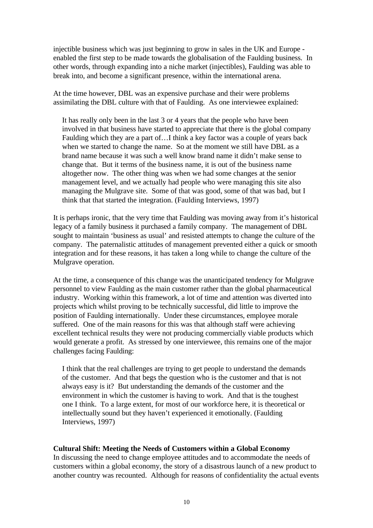injectible business which was just beginning to grow in sales in the UK and Europe enabled the first step to be made towards the globalisation of the Faulding business. In other words, through expanding into a niche market (injectibles), Faulding was able to break into, and become a significant presence, within the international arena.

At the time however, DBL was an expensive purchase and their were problems assimilating the DBL culture with that of Faulding. As one interviewee explained:

It has really only been in the last 3 or 4 years that the people who have been involved in that business have started to appreciate that there is the global company Faulding which they are a part of…I think a key factor was a couple of years back when we started to change the name. So at the moment we still have DBL as a brand name because it was such a well know brand name it didn't make sense to change that. But it terms of the business name, it is out of the business name altogether now. The other thing was when we had some changes at the senior management level, and we actually had people who were managing this site also managing the Mulgrave site. Some of that was good, some of that was bad, but I think that that started the integration. (Faulding Interviews, 1997)

It is perhaps ironic, that the very time that Faulding was moving away from it's historical legacy of a family business it purchased a family company. The management of DBL sought to maintain 'business as usual' and resisted attempts to change the culture of the company. The paternalistic attitudes of management prevented either a quick or smooth integration and for these reasons, it has taken a long while to change the culture of the Mulgrave operation.

At the time, a consequence of this change was the unanticipated tendency for Mulgrave personnel to view Faulding as the main customer rather than the global pharmaceutical industry. Working within this framework, a lot of time and attention was diverted into projects which whilst proving to be technically successful, did little to improve the position of Faulding internationally. Under these circumstances, employee morale suffered. One of the main reasons for this was that although staff were achieving excellent technical results they were not producing commercially viable products which would generate a profit. As stressed by one interviewee, this remains one of the major challenges facing Faulding:

I think that the real challenges are trying to get people to understand the demands of the customer. And that begs the question who is the customer and that is not always easy is it? But understanding the demands of the customer and the environment in which the customer is having to work. And that is the toughest one I think. To a large extent, for most of our workforce here, it is theoretical or intellectually sound but they haven't experienced it emotionally. (Faulding Interviews, 1997)

# **Cultural Shift: Meeting the Needs of Customers within a Global Economy**

In discussing the need to change employee attitudes and to accommodate the needs of customers within a global economy, the story of a disastrous launch of a new product to another country was recounted. Although for reasons of confidentiality the actual events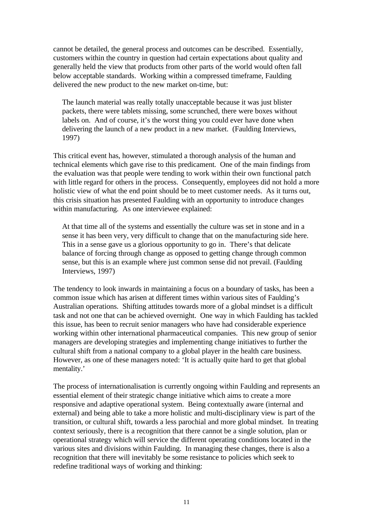cannot be detailed, the general process and outcomes can be described. Essentially, customers within the country in question had certain expectations about quality and generally held the view that products from other parts of the world would often fall below acceptable standards. Working within a compressed timeframe, Faulding delivered the new product to the new market on-time, but:

The launch material was really totally unacceptable because it was just blister packets, there were tablets missing, some scrunched, there were boxes without labels on. And of course, it's the worst thing you could ever have done when delivering the launch of a new product in a new market. (Faulding Interviews, 1997)

This critical event has, however, stimulated a thorough analysis of the human and technical elements which gave rise to this predicament. One of the main findings from the evaluation was that people were tending to work within their own functional patch with little regard for others in the process. Consequently, employees did not hold a more holistic view of what the end point should be to meet customer needs. As it turns out, this crisis situation has presented Faulding with an opportunity to introduce changes within manufacturing. As one interviewee explained:

At that time all of the systems and essentially the culture was set in stone and in a sense it has been very, very difficult to change that on the manufacturing side here. This in a sense gave us a glorious opportunity to go in. There's that delicate balance of forcing through change as opposed to getting change through common sense, but this is an example where just common sense did not prevail. (Faulding Interviews, 1997)

The tendency to look inwards in maintaining a focus on a boundary of tasks, has been a common issue which has arisen at different times within various sites of Faulding's Australian operations. Shifting attitudes towards more of a global mindset is a difficult task and not one that can be achieved overnight. One way in which Faulding has tackled this issue, has been to recruit senior managers who have had considerable experience working within other international pharmaceutical companies. This new group of senior managers are developing strategies and implementing change initiatives to further the cultural shift from a national company to a global player in the health care business. However, as one of these managers noted: 'It is actually quite hard to get that global mentality.'

The process of internationalisation is currently ongoing within Faulding and represents an essential element of their strategic change initiative which aims to create a more responsive and adaptive operational system. Being contextually aware (internal and external) and being able to take a more holistic and multi-disciplinary view is part of the transition, or cultural shift, towards a less parochial and more global mindset. In treating context seriously, there is a recognition that there cannot be a single solution, plan or operational strategy which will service the different operating conditions located in the various sites and divisions within Faulding. In managing these changes, there is also a recognition that there will inevitably be some resistance to policies which seek to redefine traditional ways of working and thinking: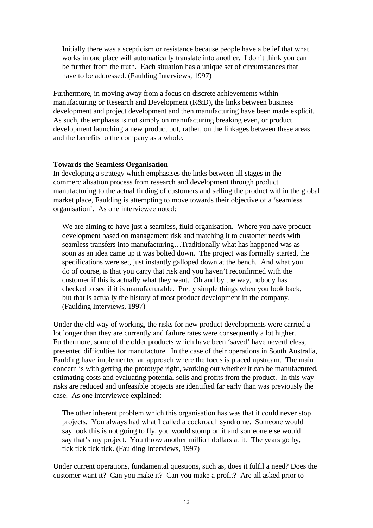Initially there was a scepticism or resistance because people have a belief that what works in one place will automatically translate into another. I don't think you can be further from the truth. Each situation has a unique set of circumstances that have to be addressed. (Faulding Interviews, 1997)

Furthermore, in moving away from a focus on discrete achievements within manufacturing or Research and Development (R&D), the links between business development and project development and then manufacturing have been made explicit. As such, the emphasis is not simply on manufacturing breaking even, or product development launching a new product but, rather, on the linkages between these areas and the benefits to the company as a whole.

## **Towards the Seamless Organisation**

In developing a strategy which emphasises the links between all stages in the commercialisation process from research and development through product manufacturing to the actual finding of customers and selling the product within the global market place, Faulding is attempting to move towards their objective of a 'seamless organisation'. As one interviewee noted:

We are aiming to have just a seamless, fluid organisation. Where you have product development based on management risk and matching it to customer needs with seamless transfers into manufacturing…Traditionally what has happened was as soon as an idea came up it was bolted down. The project was formally started, the specifications were set, just instantly galloped down at the bench. And what you do of course, is that you carry that risk and you haven't reconfirmed with the customer if this is actually what they want. Oh and by the way, nobody has checked to see if it is manufacturable. Pretty simple things when you look back, but that is actually the history of most product development in the company. (Faulding Interviews, 1997)

Under the old way of working, the risks for new product developments were carried a lot longer than they are currently and failure rates were consequently a lot higher. Furthermore, some of the older products which have been 'saved' have nevertheless, presented difficulties for manufacture. In the case of their operations in South Australia, Faulding have implemented an approach where the focus is placed upstream. The main concern is with getting the prototype right, working out whether it can be manufactured, estimating costs and evaluating potential sells and profits from the product. In this way risks are reduced and unfeasible projects are identified far early than was previously the case. As one interviewee explained:

The other inherent problem which this organisation has was that it could never stop projects. You always had what I called a cockroach syndrome. Someone would say look this is not going to fly, you would stomp on it and someone else would say that's my project. You throw another million dollars at it. The years go by, tick tick tick tick. (Faulding Interviews, 1997)

Under current operations, fundamental questions, such as, does it fulfil a need? Does the customer want it? Can you make it? Can you make a profit? Are all asked prior to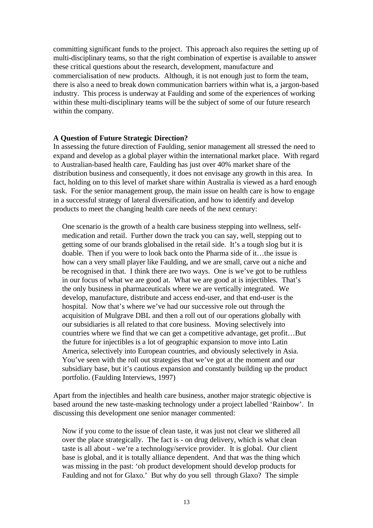committing significant funds to the project. This approach also requires the setting up of multi-disciplinary teams, so that the right combination of expertise is available to answer these critical questions about the research, development, manufacture and commercialisation of new products. Although, it is not enough just to form the team, there is also a need to break down communication barriers within what is, a jargon-based industry. This process is underway at Faulding and some of the experiences of working within these multi-disciplinary teams will be the subject of some of our future research within the company.

#### **A Question of Future Strategic Direction?**

In assessing the future direction of Faulding, senior management all stressed the need to expand and develop as a global player within the international market place. With regard to Australian-based health care, Faulding has just over 40% market share of the distribution business and consequently, it does not envisage any growth in this area. In fact, holding on to this level of market share within Australia is viewed as a hard enough task. For the senior management group, the main issue on health care is how to engage in a successful strategy of lateral diversification, and how to identify and develop products to meet the changing health care needs of the next century:

One scenario is the growth of a health care business stepping into wellness, selfmedication and retail. Further down the track you can say, well, stepping out to getting some of our brands globalised in the retail side. It's a tough slog but it is doable. Then if you were to look back onto the Pharma side of it…the issue is how can a very small player like Faulding, and we are small, carve out a niche and be recognised in that. I think there are two ways. One is we've got to be ruthless in our focus of what we are good at. What we are good at is injectibles. That's the only business in pharmaceuticals where we are vertically integrated. We develop, manufacture, distribute and access end-user, and that end-user is the hospital. Now that's where we've had our successive role out through the acquisition of Mulgrave DBL and then a roll out of our operations globally with our subsidiaries is all related to that core business. Moving selectively into countries where we find that we can get a competitive advantage, get profit…But the future for injectibles is a lot of geographic expansion to move into Latin America, selectively into European countries, and obviously selectively in Asia. You've seen with the roll out strategies that we've got at the moment and our subsidiary base, but it's cautious expansion and constantly building up the product portfolio. (Faulding Interviews, 1997)

Apart from the injectibles and health care business, another major strategic objective is based around the new taste-masking technology under a project labelled 'Rainbow'. In discussing this development one senior manager commented:

Now if you come to the issue of clean taste, it was just not clear we slithered all over the place strategically. The fact is - on drug delivery, which is what clean taste is all about - we're a technology/service provider. It is global. Our client base is global, and it is totally alliance dependent. And that was the thing which was missing in the past: 'oh product development should develop products for Faulding and not for Glaxo.' But why do you sell through Glaxo? The simple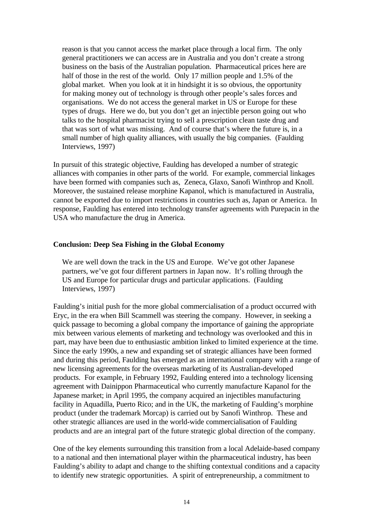reason is that you cannot access the market place through a local firm. The only general practitioners we can access are in Australia and you don't create a strong business on the basis of the Australian population. Pharmaceutical prices here are half of those in the rest of the world. Only 17 million people and 1.5% of the global market. When you look at it in hindsight it is so obvious, the opportunity for making money out of technology is through other people's sales forces and organisations. We do not access the general market in US or Europe for these types of drugs. Here we do, but you don't get an injectible person going out who talks to the hospital pharmacist trying to sell a prescription clean taste drug and that was sort of what was missing. And of course that's where the future is, in a small number of high quality alliances, with usually the big companies. (Faulding Interviews, 1997)

In pursuit of this strategic objective, Faulding has developed a number of strategic alliances with companies in other parts of the world. For example, commercial linkages have been formed with companies such as, Zeneca, Glaxo, Sanofi Winthrop and Knoll. Moreover, the sustained release morphine Kapanol, which is manufactured in Australia, cannot be exported due to import restrictions in countries such as, Japan or America. In response, Faulding has entered into technology transfer agreements with Purepacin in the USA who manufacture the drug in America.

## **Conclusion: Deep Sea Fishing in the Global Economy**

We are well down the track in the US and Europe. We've got other Japanese partners, we've got four different partners in Japan now. It's rolling through the US and Europe for particular drugs and particular applications. (Faulding Interviews, 1997)

Faulding's initial push for the more global commercialisation of a product occurred with Eryc, in the era when Bill Scammell was steering the company. However, in seeking a quick passage to becoming a global company the importance of gaining the appropriate mix between various elements of marketing and technology was overlooked and this in part, may have been due to enthusiastic ambition linked to limited experience at the time. Since the early 1990s, a new and expanding set of strategic alliances have been formed and during this period, Faulding has emerged as an international company with a range of new licensing agreements for the overseas marketing of its Australian-developed products. For example, in February 1992, Faulding entered into a technology licensing agreement with Dainippon Pharmaceutical who currently manufacture Kapanol for the Japanese market; in April 1995, the company acquired an injectibles manufacturing facility in Aquadilla, Puerto Rico; and in the UK, the marketing of Faulding's morphine product (under the trademark Morcap) is carried out by Sanofi Winthrop. These and other strategic alliances are used in the world-wide commercialisation of Faulding products and are an integral part of the future strategic global direction of the company.

One of the key elements surrounding this transition from a local Adelaide-based company to a national and then international player within the pharmaceutical industry, has been Faulding's ability to adapt and change to the shifting contextual conditions and a capacity to identify new strategic opportunities. A spirit of entrepreneurship, a commitment to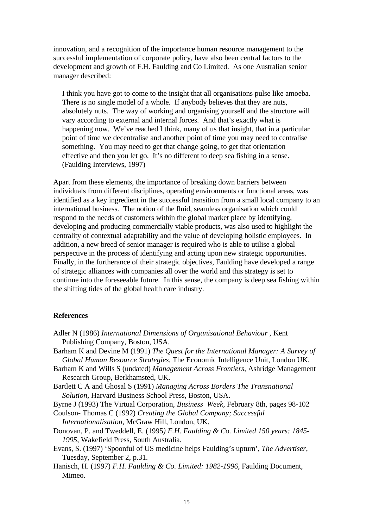innovation, and a recognition of the importance human resource management to the successful implementation of corporate policy, have also been central factors to the development and growth of F.H. Faulding and Co Limited. As one Australian senior manager described:

I think you have got to come to the insight that all organisations pulse like amoeba. There is no single model of a whole. If anybody believes that they are nuts, absolutely nuts. The way of working and organising yourself and the structure will vary according to external and internal forces. And that's exactly what is happening now. We've reached I think, many of us that insight, that in a particular point of time we decentralise and another point of time you may need to centralise something. You may need to get that change going, to get that orientation effective and then you let go. It's no different to deep sea fishing in a sense. (Faulding Interviews, 1997)

Apart from these elements, the importance of breaking down barriers between individuals from different disciplines, operating environments or functional areas, was identified as a key ingredient in the successful transition from a small local company to an international business. The notion of the fluid, seamless organisation which could respond to the needs of customers within the global market place by identifying, developing and producing commercially viable products, was also used to highlight the centrality of contextual adaptability and the value of developing holistic employees. In addition, a new breed of senior manager is required who is able to utilise a global perspective in the process of identifying and acting upon new strategic opportunities. Finally, in the furtherance of their strategic objectives, Faulding have developed a range of strategic alliances with companies all over the world and this strategy is set to continue into the foreseeable future. In this sense, the company is deep sea fishing within the shifting tides of the global health care industry.

#### **References**

- Adler N (1986) *International Dimensions of Organisational Behaviour ,* Kent Publishing Company, Boston, USA.
- Barham K and Devine M (1991) *The Quest for the International Manager: A Survey of Global Human Resource Strategies,* The Economic Intelligence Unit, London UK.
- Barham K and Wills S (undated) *Management Across Frontiers,* Ashridge Management Research Group, Berkhamsted, UK.
- Bartlett C A and Ghosal S (1991) *Managing Across Borders The Transnational Solution,* Harvard Business School Press, Boston, USA.

Byrne J (1993) The Virtual Corporation*, Business Week,* February 8th, pages 98-102

Coulson- Thomas C (1992) *Creating the Global Company; Successful*

*Internationalisation,* McGraw Hill, London, UK.

- Donovan, P. and Tweddell, E. (1995*) F.H. Faulding & Co. Limited 150 years: 1845- 1995*, Wakefield Press, South Australia.
- Evans, S. (1997) 'Spoonful of US medicine helps Faulding's upturn', *The Advertiser*, Tuesday, September 2, p.31.
- Hanisch, H. (1997) *F.H. Faulding & Co. Limited: 1982-1996*, Faulding Document, Mimeo.